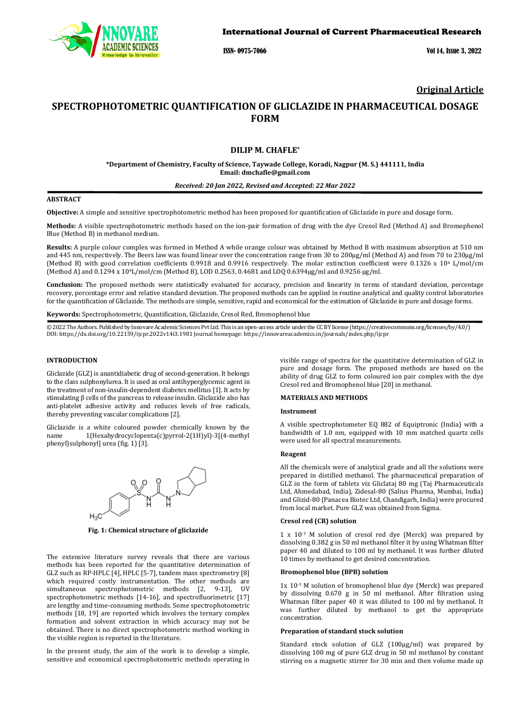

ISSN- 0975-7066 Vol 14, Issue 3, 2022

## **Original Article**

# **SPECTROPHOTOMETRIC QUANTIFICATION OF GLICLAZIDE IN PHARMACEUTICAL DOSAGE FORM**

## **DILIP M. CHAFLE\***

**\*Department of Chemistry, Faculty of Science, Taywade College, Koradi, Nagpur (M. S.) 441111, India Email: dmchafle@gmail.com**

#### *Received: 20 Jan 2022, Revised and Accepted: 22 Mar 2022*

## **ABSTRACT**

**Objective:** A simple and sensitive spectrophotometric method has been proposed for quantification of Gliclazide in pure and dosage form.

**Methods:** A visible spectrophotometric methods based on the ion-pair formation of drug with the dye Cresol Red (Method A) and Bromophenol Blue (Method B) in methanol medium.

**Results:** A purple colour complex was formed in Method A while orange colour was obtained by Method B with maximum absorption at 510 nm and 445 nm, respectively. The Beers law was found linear over the concentration range from 30 to 200µg/ml (Method A) and from 70 to 230µg/ml (Method B) with good correlation coefficients 0.9918 and 0.9916 respectively. The molar extinction coefficient were 0.1326 x 104 L/mol/cm (Method A) and 0.1294 x 104L/mol/cm (Method B), LOD 0.2563, 0.4681 and LOQ 0.6394µg/ml and 0.9256 µg/ml.

**Conclusion:** The proposed methods were statistically evaluated for accuracy, precision and linearity in terms of standard deviation, percentage recovery, percentage error and relative standard deviation. The proposed methods can be applied in routine analytical and quality control laboratories for the quantification of Gliclazide. The methods are simple, sensitive, rapid and economical for the estimation of Gliclazide in pure and dosage forms.

**Keywords:** Spectrophotometric, Quantification, Gliclazide, Cresol Red, Bromophenol blue

© 2022 The Authors. Published by Innovare Academic Sciences Pvt Ltd. This is an open-access article under the CC BY license [\(https://creativecommons.org/licenses/by/4.0/\)](https://creativecommons.org/licenses/by/4.0/) DOI[: https://dx.doi.org/10.22159/ijcpr.2022v14i3.1](https://dx.doi.org/10.22159/ijcpr.2022v14i3)981 Journal homepage[: https://innovareacademics.in/journals/index.php/ijcpr](https://innovareacademics.in/journals/index.php/ijcpr)

### **INTRODUCTION**

Gliclazide (GLZ) is anantidiabetic drug of second-generation. It belongs to the class sulphonylurea. It is used as oral antihyperglycemic agent in the treatment of non-insulin-dependent diabetes mellitus [1]. It acts by stimulating β cells of the pancreas to release insulin. Gliclazide also has anti-platelet adhesive activity and reduces levels of free radicals, thereby preventing vascular complications [2].

Gliclazide is a white coloured powder chemically known by the name 1(Hexahydrocyclopenta(c)pyrrol-2(1H)yl)-3[(4-methyl phenyl)sulphonyl] urea (fig. 1) [3].



**Fig. 1: Chemical structure of gliclazide**

The extensive literature survey reveals that there are various methods has been reported for the quantitative determination of GLZ such as RP-HPLC [4], HPLC [5-7], tandem mass spectrometry [8] which required costly instrumentation. The other methods are simultaneous spectrophotometric methods [2, 9-13], UV spectrophotometric methods [14-16], and spectrofluorimetric [17] are lengthy and time-consuming methods. Some spectrophotometric methods [18, 19] are reported which involves the ternary complex formation and solvent extraction in which accuracy may not be obtained. There is no direct spectrophotometric method working in the visible region is reported in the literature.

In the present study, the aim of the work is to develop a simple, sensitive and economical spectrophotometric methods operating in

visible range of spectra for the quantitative determination of GLZ in pure and dosage form. The proposed methods are based on the ability of drug GLZ to form coloured ion pair complex with the dye Cresol red and Bromophenol blue [20] in methanol.

#### **MATERIALS AND METHODS**

#### **Instrument**

A visible spectrophotometer EQ 882 of Equiptronic (India) with a bandwidth of 1.0 nm, equipped with 10 mm matched quartz cells were used for all spectral measurements.

## **Reagent**

All the chemicals were of analytical grade and all the solutions were prepared in distilled methanol. The pharmaceutical preparation of GLZ in the form of tablets viz Gliclataj 80 mg (Taj Pharmaceuticals Ltd, Ahmedabad, India), Zidesal-80 (Salius Pharma, Mumbai, India) and Glizid-80 (Panacea Biotec Ltd, Chandigarh, India) were procured from local market. Pure GLZ was obtained from Sigma.

#### **Cresol red (CR) solution**

1 x 10-3 M solution of cresol red dye (Merck) was prepared by dissolving 0.382 g in 50 ml methanol filter it by using Whatman filter paper 40 and diluted to 100 ml by methanol. It was further diluted 10 times by methanol to get desired concentration.

#### **Bromophenol blue (BPB) solution**

1x 10-3 M solution of bromophenol blue dye (Merck) was prepared by dissolving 0.670 g in 50 ml methanol. After filtration using Whatman filter paper 40 it was diluted to 100 ml by methanol. It was further diluted by methanol to get the appropriate concentration.

#### **Preparation of standard stock solution**

Standard stock solution of GLZ (100μg/ml) was prepared by dissolving 100 mg of pure GLZ drug in 50 ml methanol by constant stirring on a magnetic stirrer for 30 min and then volume made up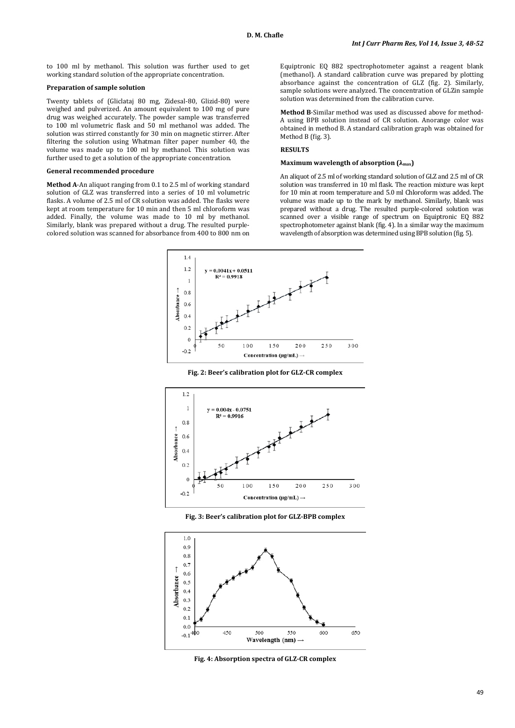to 100 ml by methanol. This solution was further used to get working standard solution of the appropriate concentration.

## **Preparation of sample solution**

Twenty tablets of (Gliclataj 80 mg, Zidesal-80, Glizid-80) were weighed and pulverized. An amount equivalent to 100 mg of pure drug was weighed accurately. The powder sample was transferred to 100 ml volumetric flask and 50 ml methanol was added. The solution was stirred constantly for 30 min on magnetic stirrer. After filtering the solution using Whatman filter paper number 40, the volume was made up to 100 ml by methanol. This solution was further used to get a solution of the appropriate concentration.

#### **General recommended procedure**

**Method A**-An aliquot ranging from 0.1 to 2.5 ml of working standard solution of GLZ was transferred into a series of 10 ml volumetric flasks. A volume of 2.5 ml of CR solution was added. The flasks were kept at room temperature for 10 min and then 5 ml chloroform was added. Finally, the volume was made to 10 ml by methanol. Similarly, blank was prepared without a drug. The resulted purplecolored solution was scanned for absorbance from 400 to 800 nm on

Equiptronic EQ 882 spectrophotometer against a reagent blank (methanol). A standard calibration curve was prepared by plotting absorbance against the concentration of GLZ (fig. 2). Similarly, sample solutions were analyzed. The concentration of GLZin sample solution was determined from the calibration curve.

**Method B**-Similar method was used as discussed above for method-A using BPB solution instead of CR solution. Anorange color was obtained in method B. A standard calibration graph was obtained for Method B (fig. 3).

## **RESULTS**

## **Maximum wavelength of absorption (λmax)**

An aliquot of 2.5 ml of working standard solution of GLZ and 2.5 ml of CR solution was transferred in 10 ml flask. The reaction mixture was kept for 10 min at room temperature and 5.0 ml Chloroform was added. The volume was made up to the mark by methanol. Similarly, blank was prepared without a drug. The resulted purple-colored solution was scanned over a visible range of spectrum on Equiptronic EQ 882 spectrophotometer against blank (fig. 4). In a similar way the maximum wavelength of absorption was determined using BPB solution (fig. 5).



**Fig. 2: Beer's calibration plot for GLZ-CR complex**



**Fig. 3: Beer's calibration plot for GLZ-BPB complex**



**Fig. 4: Absorption spectra of GLZ-CR complex**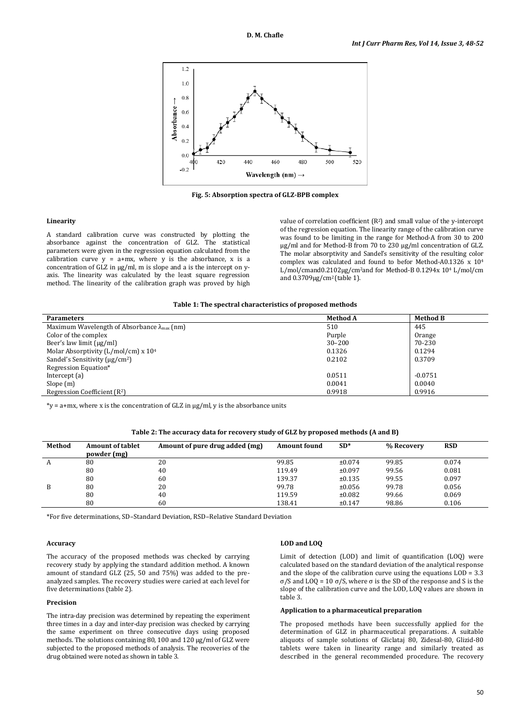

**Fig. 5: Absorption spectra of GLZ-BPB complex**

### **Linearity**

A standard calibration curve was constructed by plotting the absorbance against the concentration of GLZ. The statistical parameters were given in the regression equation calculated from the calibration curve  $y = a+mx$ , where y is the absorbance, x is a concentration of GLZ in µg/ml, m is slope and a is the intercept on yaxis. The linearity was calculated by the least square regression method. The linearity of the calibration graph was proved by high value of correlation coefficient (R2) and small value of the y-intercept of the regression equation. The linearity range of the calibration curve was found to be limiting in the range for Method-A from 30 to 200 µg/ml and for Method-B from 70 to 230 µg/ml concentration of GLZ. The molar absorptivity and Sandel's sensitivity of the resulting color complex was calculated and found to befor Method-A0.1326 x 104 L/mol/cmand0.2102µg/cm<sup>2</sup>and for Method-B 0.1294x 10<sup>4</sup> L/mol/cm and 0.3709µg/cm2 (table 1).

| Table 1: The spectral characteristics of proposed methods |  |  |
|-----------------------------------------------------------|--|--|
|-----------------------------------------------------------|--|--|

| <b>Parameters</b>                                            | <b>Method A</b> | <b>Method B</b> |  |
|--------------------------------------------------------------|-----------------|-----------------|--|
| Maximum Wavelength of Absorbance $\lambda_{\text{max}}$ (nm) | 510             | 445             |  |
| Color of the complex                                         | Purple          | Orange          |  |
| Beer's law limit $\lceil \mu g/m \rceil$                     | $30 - 200$      | 70-230          |  |
| Molar Absorptivity ( $L/mol/cm$ ) x $104$                    | 0.1326          | 0.1294          |  |
| Sandel's Sensitivity $\mu$ g/cm <sup>2</sup> )               | 0.2102          | 0.3709          |  |
| Regression Equation*                                         |                 |                 |  |
| Intercept $(a)$                                              | 0.0511          | $-0.0751$       |  |
| Slope $(m)$                                                  | 0.0041          | 0.0040          |  |
| Regression Coefficient (R <sup>2</sup> )                     | 0.9918          | 0.9916          |  |

 $*_{V}$  = a+mx, where x is the concentration of GLZ in  $\mu$ g/ml, y is the absorbance units

| Table 2: The accuracy data for recovery study of GLZ by proposed methods (A and B) |  |  |
|------------------------------------------------------------------------------------|--|--|
|                                                                                    |  |  |

| Method | <b>Amount of tablet</b><br>powder (mg) | Amount of pure drug added (mg) | <b>Amount found</b> | $SD*$  | % Recovery | <b>RSD</b> |
|--------|----------------------------------------|--------------------------------|---------------------|--------|------------|------------|
| A      | 80                                     | 20                             | 99.85               | ±0.074 | 99.85      | 0.074      |
|        | 80                                     | 40                             | 119.49              | ±0.097 | 99.56      | 0.081      |
|        | 80                                     | 60                             | 139.37              | ±0.135 | 99.55      | 0.097      |
| B      | 80                                     | 20                             | 99.78               | ±0.056 | 99.78      | 0.056      |
|        | 80                                     | 40                             | 119.59              | ±0.082 | 99.66      | 0.069      |
|        | 80                                     | 60                             | 138.41              | ±0.147 | 98.86      | 0.106      |

\*For five determinations, SD–Standard Deviation, RSD–Relative Standard Deviation

### **Accuracy**

The accuracy of the proposed methods was checked by carrying recovery study by applying the standard addition method. A known amount of standard GLZ (25, 50 and 75%) was added to the preanalyzed samples. The recovery studies were caried at each level for five determinations (table 2).

#### **Precision**

The intra-day precision was determined by repeating the experiment three times in a day and inter-day precision was checked by carrying the same experiment on three consecutive days using proposed methods. The solutions containing 80, 100 and 120 µg/ml of GLZ were subjected to the proposed methods of analysis. The recoveries of the drug obtained were noted as shown in table 3.

### **LOD and LOQ**

Limit of detection (LOD) and limit of quantification (LOQ) were calculated based on the standard deviation of the analytical response and the slope of the calibration curve using the equations  $LOD = 3.3$ σ/S and LOQ = 10 σ/S, where σ is the SD of the response and S is the slope of the calibration curve and the LOD, LOQ values are shown in table 3.

#### **Application to a pharmaceutical preparation**

The proposed methods have been successfully applied for the determination of GLZ in pharmaceutical preparations. A suitable aliquots of sample solutions of Gliclataj 80, Zidesal-80, Glizid-80 tablets were taken in linearity range and similarly treated as described in the general recommended procedure. The recovery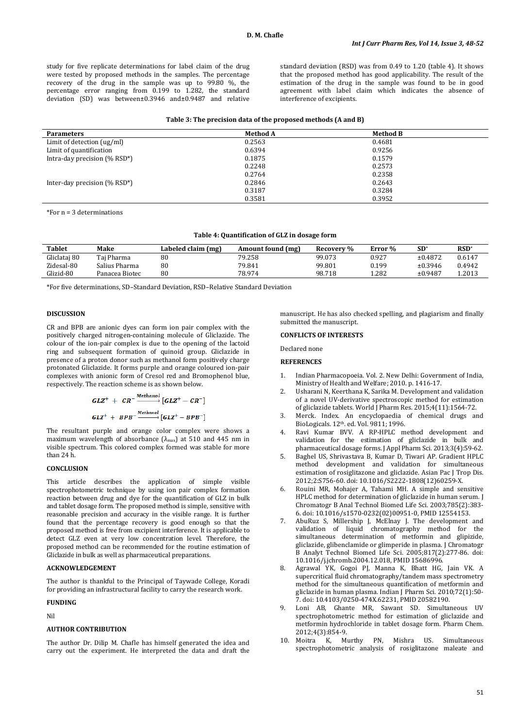study for five replicate determinations for label claim of the drug were tested by proposed methods in the samples. The percentage recovery of the drug in the sample was up to 99.80 %, the percentage error ranging from 0.199 to 1.282, the standard deviation (SD) was between±0.3946 and±0.9487 and relative standard deviation (RSD) was from 0.49 to 1.20 (table 4). It shows that the proposed method has good applicability. The result of the estimation of the drug in the sample was found to be in good agreement with label claim which indicates the absence of interference of excipients.

#### **Table 3: The precision data of the proposed methods (A and B)**

| <b>Parameters</b>                               | <b>Method A</b> | <b>Method B</b> |  |
|-------------------------------------------------|-----------------|-----------------|--|
| Limit of detection $\frac{\text{u}g}{\text{m}}$ | 0.2563          | 0.4681          |  |
| Limit of quantification                         | 0.6394          | 0.9256          |  |
| Intra-day precision $(\%$ RSD <sup>*</sup> )    | 0.1875          | 0.1579          |  |
|                                                 | 0.2248          | 0.2573          |  |
|                                                 | 0.2764          | 0.2358          |  |
| Inter-day precision $(\%$ RSD <sup>*</sup> )    | 0.2846          | 0.2643          |  |
|                                                 | 0.3187          | 0.3284          |  |
|                                                 | 0.3581          | 0.3952          |  |

\*For n = 3 determinations

#### **Table 4: Quantification of GLZ in dosage form**

| Tablet       | Make           | Labeled claim (mg) | Amount found (mg) | Recovery % | Error % | $SD^*$  | $RSD^*$ |
|--------------|----------------|--------------------|-------------------|------------|---------|---------|---------|
| Gliclataj 80 | Tai Pharma     | 80                 | 79.258            | 99.073     | 0.927   | ±0.4872 | 0.6147  |
| Zidesal-80   | Salius Pharma  | 80                 | 79.841            | 99.801     | 0.199   | ±0.3946 | 0.4942  |
| Glizid-80    | Panacea Biotec | 80                 | 78.974            | 98.718     | 1.282   | ±0.9487 | 1.2013  |

\*For five determinations, SD–Standard Deviation, RSD–Relative Standard Deviation

#### **DISCUSSION**

CR and BPB are anionic dyes can form ion pair complex with the positively charged nitrogen-containing molecule of Gliclazide. The colour of the ion-pair complex is due to the opening of the lactoid ring and subsequent formation of quinoid group. Gliclazide in presence of a proton donor such as methanol form positively charge protonated Gliclazide. It forms purple and orange coloured ion-pair complexes with anionic form of Cresol red and Bromophenol blue, respectively. The reaction scheme is as shown below.

$$
GLZ^{+} + CR^{-} \xrightarrow{Method} [GLZ^{+} - CR^{-}]
$$
  

$$
GLZ^{+} + BPB^{-} \xrightarrow{Method} [GLZ^{+} - BPB^{-}]
$$

The resultant purple and orange color complex were shows a maximum wavelength of absorbance  $(\lambda_{\text{max}})$  at 510 and 445 nm in visible spectrum. This colored complex formed was stable for more than 24 h.

### **CONCLUSION**

This article describes the application of simple visible spectrophotometric technique by using ion pair complex formation reaction between drug and dye for the quantification of GLZ in bulk and tablet dosage form. The proposed method is simple, sensitive with reasonable precision and accuracy in the visible range. It is further found that the percentage recovery is good enough so that the proposed method is free from excipient interference. It is applicable to detect GLZ even at very low concentration level. Therefore, the proposed method can be recommended for the routine estimation of Gliclazide in bulk as well as pharmaceutical preparations.

## **ACKNOWLEDGEMENT**

The author is thankful to the Principal of Taywade College, Koradi for providing an infrastructural facility to carry the research work.

### **FUNDING**

Nil

#### **AUTHOR CONTRIBUTION**

The author Dr. Dilip M. Chafle has himself generated the idea and carry out the experiment. He interpreted the data and draft the manuscript. He has also checked spelling, and plagiarism and finally submitted the manuscript.

## **CONFLICTS OF INTERESTS**

Declared none

## **REFERENCES**

- 1. Indian Pharmacopoeia. Vol. 2. New Delhi: Government of India, Ministry of Health and Welfare; 2010. p. 1416-17.
- 2. Usharani N, Keerthana K, Sarika M. Development and validation of a novel UV-derivative spectroscopic method for estimation of gliclazide tablets. World J Pharm Res. 2015;4(11):1564-72.
- 3. Merck. Index. An encyclopaedia of chemical drugs and BioLogicals. 12th. ed. Vol. 9811; 1996.
- 4. Ravi Kumar BVV. A RP-HPLC method development and validation for the estimation of gliclazide in bulk and pharmaceutical dosage forms. J Appl Pharm Sci. 2013;3(4):59-62.
- 5. Baghel US, Shrivastava B, Kumar D, Tiwari AP. Gradient HPLC method development and validation for simultaneous estimation of rosiglitazone and gliclazide. Asian Pac J Trop Dis. 2012;2:S756-60. doi[: 10.1016/S2222-1808\(12\)60259-X.](https://doi.org/10.1016/S2222-1808(12)60259-X)
- 6. Rouini MR, Mohajer A, Tahami MH. A simple and sensitive HPLC method for determination of gliclazide in human serum. J Chromatogr B Anal Technol Biomed Life Sci. 2003;785(2):383- 6. doi[: 10.1016/s1570-0232\(02\)00951-0,](https://doi.org/10.1016/s1570-0232(02)00951-0) PMI[D 12554153.](https://www.ncbi.nlm.nih.gov/pubmed/12554153)
- 7. AbuRuz S, Millership J, McElnay J. The development and validation of liquid chromatography method for the simultaneous determination of metformin and glipizide, gliclazide, glibenclamide or glimperide in plasma. J Chromatogr B Analyt Technol Biomed Life Sci. 2005;817(2):277-86. doi: [10.1016/j.jchromb.2004.12.018,](https://doi.org/10.1016/j.jchromb.2004.12.018) PMID [15686996.](https://www.ncbi.nlm.nih.gov/pubmed/15686996)
- 8. Agrawal YK, Gogoi PJ, Manna K, Bhatt HG, Jain VK. A supercritical fluid chromatography/tandem mass spectrometry method for the simultaneous quantification of metformin and gliclazide in human plasma. Indian J Pharm Sci. 2010;72(1):50- 7. doi[: 10.4103/0250-474X.62231,](https://doi.org/10.4103/0250-474X.62231) PMI[D 20582190.](https://www.ncbi.nlm.nih.gov/pubmed/20582190)
- 9. Loni AB, Ghante MR, Sawant SD. Simultaneous UV spectrophotometric method for estimation of gliclazide and metformin hydrochloride in tablet dosage form. Pharm Chem. 2012;4(3):854-9.<br>Moitra K. M
- 10. Moitra K, Murthy PN, Mishra US. Simultaneous spectrophotometric analysis of rosiglitazone maleate and